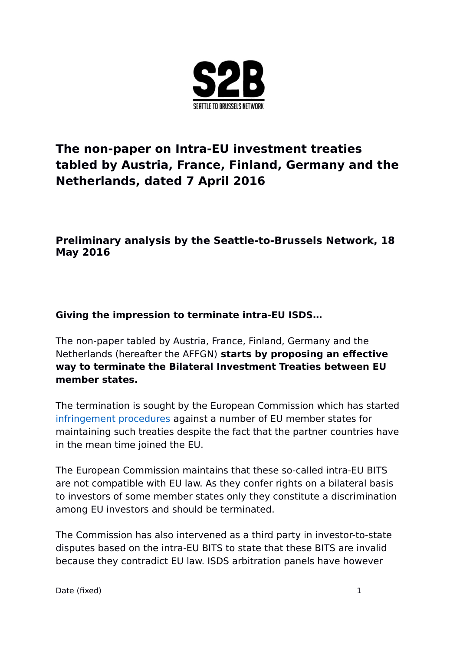

# **The non-paper on Intra-EU investment treaties tabled by Austria, France, Finland, Germany and the Netherlands, dated 7 April 2016**

## **Preliminary analysis by the Seattle-to-Brussels Network, 18 May 2016**

## **Giving the impression to terminate intra-EU ISDS…**

The non-paper tabled by Austria, France, Finland, Germany and the Netherlands (hereafter the AFFGN) **starts by proposing an effective way to terminate the Bilateral Investment Treaties between EU member states.** 

The termination is sought by the European Commission which has started [infringement procedures](http://europa.eu/rapid/press-release_IP-15-5198_en.htm) against a number of EU member states for maintaining such treaties despite the fact that the partner countries have in the mean time joined the EU.

The European Commission maintains that these so-called intra-EU BITS are not compatible with EU law. As they confer rights on a bilateral basis to investors of some member states only they constitute a discrimination among EU investors and should be terminated.

The Commission has also intervened as a third party in investor-to-state disputes based on the intra-EU BITS to state that these BITS are invalid because they contradict EU law. ISDS arbitration panels have however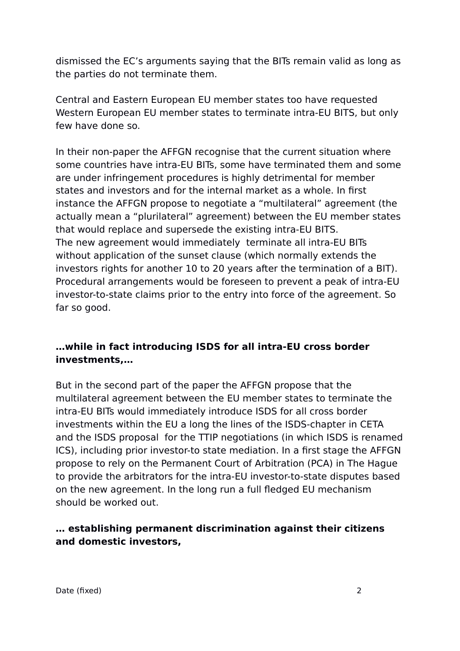dismissed the EC's arguments saying that the BITs remain valid as long as the parties do not terminate them.

Central and Eastern European EU member states too have requested Western European EU member states to terminate intra-EU BITS, but only few have done so.

In their non-paper the AFFGN recognise that the current situation where some countries have intra-EU BITs, some have terminated them and some are under infringement procedures is highly detrimental for member states and investors and for the internal market as a whole. In first instance the AFFGN propose to negotiate a "multilateral" agreement (the actually mean a "plurilateral" agreement) between the EU member states that would replace and supersede the existing intra-EU BITS. The new agreement would immediately terminate all intra-EU BITs without application of the sunset clause (which normally extends the investors rights for another 10 to 20 years after the termination of a BIT). Procedural arrangements would be foreseen to prevent a peak of intra-EU investor-to-state claims prior to the entry into force of the agreement. So far so good.

#### **…while in fact introducing ISDS for all intra-EU cross border investments,…**

But in the second part of the paper the AFFGN propose that the multilateral agreement between the EU member states to terminate the intra-EU BITs would immediately introduce ISDS for all cross border investments within the EU a long the lines of the ISDS-chapter in CETA and the ISDS proposal for the TTIP negotiations (in which ISDS is renamed ICS), including prior investor-to state mediation. In a first stage the AFFGN propose to rely on the Permanent Court of Arbitration (PCA) in The Hague to provide the arbitrators for the intra-EU investor-to-state disputes based on the new agreement. In the long run a full fledged EU mechanism should be worked out.

## **… establishing permanent discrimination against their citizens and domestic investors,**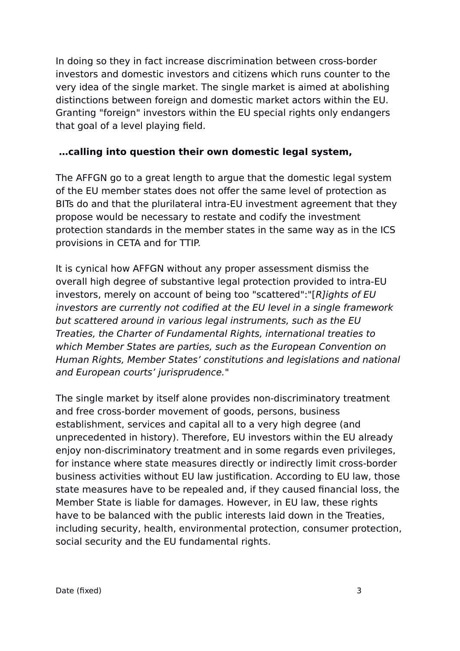In doing so they in fact increase discrimination between cross-border investors and domestic investors and citizens which runs counter to the very idea of the single market. The single market is aimed at abolishing distinctions between foreign and domestic market actors within the EU. Granting "foreign" investors within the EU special rights only endangers that goal of a level playing field.

#### **…calling into question their own domestic legal system,**

The AFFGN go to a great length to argue that the domestic legal system of the EU member states does not offer the same level of protection as BITs do and that the plurilateral intra-EU investment agreement that they propose would be necessary to restate and codify the investment protection standards in the member states in the same way as in the ICS provisions in CETA and for TTIP.

It is cynical how AFFGN without any proper assessment dismiss the overall high degree of substantive legal protection provided to intra-EU investors, merely on account of being too "scattered":"[R]ights of EU investors are currently not codified at the EU level in a single framework but scattered around in various legal instruments, such as the EU Treaties, the Charter of Fundamental Rights, international treaties to which Member States are parties, such as the European Convention on Human Rights, Member States' constitutions and legislations and national and European courts' jurisprudence."

The single market by itself alone provides non-discriminatory treatment and free cross-border movement of goods, persons, business establishment, services and capital all to a very high degree (and unprecedented in history). Therefore, EU investors within the EU already enjoy non-discriminatory treatment and in some regards even privileges, for instance where state measures directly or indirectly limit cross-border business activities without EU law justification. According to EU law, those state measures have to be repealed and, if they caused financial loss, the Member State is liable for damages. However, in EU law, these rights have to be balanced with the public interests laid down in the Treaties, including security, health, environmental protection, consumer protection, social security and the EU fundamental rights.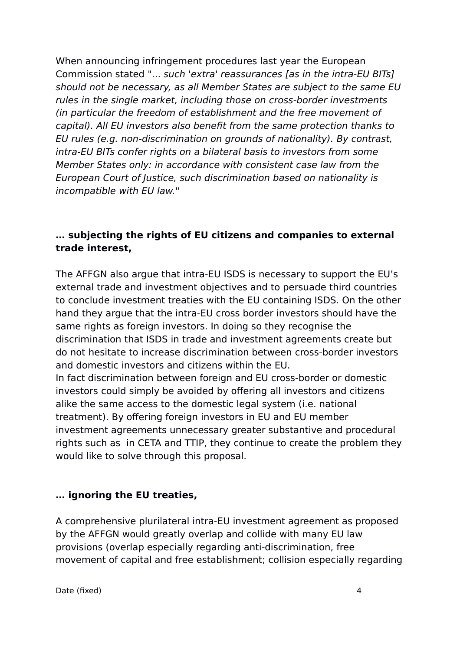When announcing infringement procedures last year the European Commission stated "... such 'extra' reassurances [as in the intra-EU BITs] should not be necessary, as all Member States are subject to the same EU rules in the single market, including those on cross-border investments (in particular the freedom of establishment and the free movement of capital). All EU investors also benefit from the same protection thanks to EU rules (e.g. non-discrimination on grounds of nationality). By contrast, intra-EU BITs confer rights on a bilateral basis to investors from some Member States only: in accordance with consistent case law from the European Court of Justice, such discrimination based on nationality is incompatible with EU law."

#### **… subjecting the rights of EU citizens and companies to external trade interest,**

The AFFGN also argue that intra-EU ISDS is necessary to support the EU's external trade and investment objectives and to persuade third countries to conclude investment treaties with the EU containing ISDS. On the other hand they argue that the intra-EU cross border investors should have the same rights as foreign investors. In doing so they recognise the discrimination that ISDS in trade and investment agreements create but do not hesitate to increase discrimination between cross-border investors and domestic investors and citizens within the EU.

In fact discrimination between foreign and EU cross-border or domestic investors could simply be avoided by offering all investors and citizens alike the same access to the domestic legal system (i.e. national treatment). By offering foreign investors in EU and EU member investment agreements unnecessary greater substantive and procedural rights such as in CETA and TTIP, they continue to create the problem they would like to solve through this proposal.

#### **… ignoring the EU treaties,**

A comprehensive plurilateral intra-EU investment agreement as proposed by the AFFGN would greatly overlap and collide with many EU law provisions (overlap especially regarding anti-discrimination, free movement of capital and free establishment; collision especially regarding